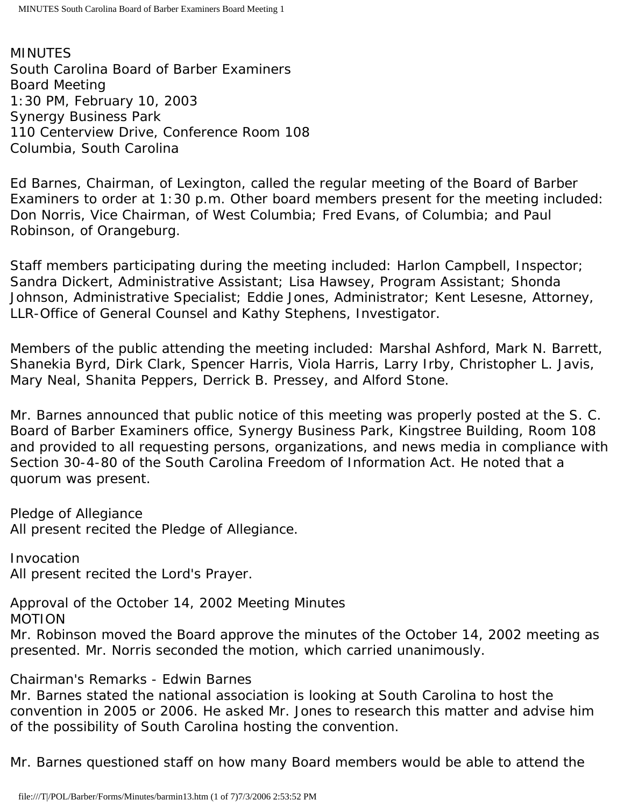MINUTES South Carolina Board of Barber Examiners Board Meeting 1:30 PM, February 10, 2003 Synergy Business Park 110 Centerview Drive, Conference Room 108 Columbia, South Carolina

Ed Barnes, Chairman, of Lexington, called the regular meeting of the Board of Barber Examiners to order at 1:30 p.m. Other board members present for the meeting included: Don Norris, Vice Chairman, of West Columbia; Fred Evans, of Columbia; and Paul Robinson, of Orangeburg.

Staff members participating during the meeting included: Harlon Campbell, Inspector; Sandra Dickert, Administrative Assistant; Lisa Hawsey, Program Assistant; Shonda Johnson, Administrative Specialist; Eddie Jones, Administrator; Kent Lesesne, Attorney, LLR-Office of General Counsel and Kathy Stephens, Investigator.

Members of the public attending the meeting included: Marshal Ashford, Mark N. Barrett, Shanekia Byrd, Dirk Clark, Spencer Harris, Viola Harris, Larry Irby, Christopher L. Javis, Mary Neal, Shanita Peppers, Derrick B. Pressey, and Alford Stone.

Mr. Barnes announced that public notice of this meeting was properly posted at the S. C. Board of Barber Examiners office, Synergy Business Park, Kingstree Building, Room 108 and provided to all requesting persons, organizations, and news media in compliance with Section 30-4-80 of the South Carolina Freedom of Information Act. He noted that a quorum was present.

Pledge of Allegiance All present recited the Pledge of Allegiance.

Invocation All present recited the Lord's Prayer.

Approval of the October 14, 2002 Meeting Minutes

MOTION

Mr. Robinson moved the Board approve the minutes of the October 14, 2002 meeting as presented. Mr. Norris seconded the motion, which carried unanimously.

Chairman's Remarks - Edwin Barnes

Mr. Barnes stated the national association is looking at South Carolina to host the convention in 2005 or 2006. He asked Mr. Jones to research this matter and advise him of the possibility of South Carolina hosting the convention.

Mr. Barnes questioned staff on how many Board members would be able to attend the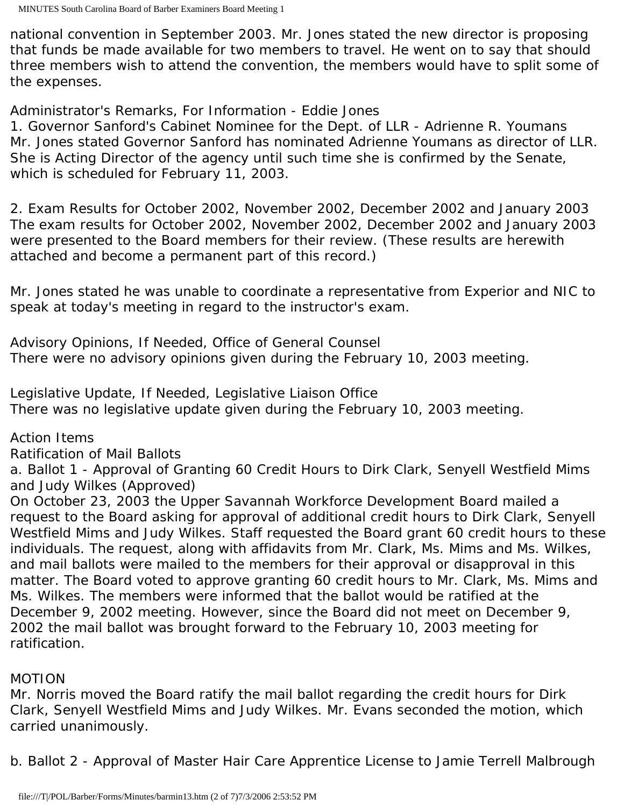national convention in September 2003. Mr. Jones stated the new director is proposing that funds be made available for two members to travel. He went on to say that should three members wish to attend the convention, the members would have to split some of the expenses.

Administrator's Remarks, For Information - Eddie Jones

1. Governor Sanford's Cabinet Nominee for the Dept. of LLR - Adrienne R. Youmans Mr. Jones stated Governor Sanford has nominated Adrienne Youmans as director of LLR. She is Acting Director of the agency until such time she is confirmed by the Senate, which is scheduled for February 11, 2003.

2. Exam Results for October 2002, November 2002, December 2002 and January 2003 The exam results for October 2002, November 2002, December 2002 and January 2003 were presented to the Board members for their review. (These results are herewith attached and become a permanent part of this record.)

Mr. Jones stated he was unable to coordinate a representative from Experior and NIC to speak at today's meeting in regard to the instructor's exam.

Advisory Opinions, If Needed, Office of General Counsel There were no advisory opinions given during the February 10, 2003 meeting.

Legislative Update, If Needed, Legislative Liaison Office There was no legislative update given during the February 10, 2003 meeting.

Action Items

Ratification of Mail Ballots

a. Ballot 1 - Approval of Granting 60 Credit Hours to Dirk Clark, Senyell Westfield Mims and Judy Wilkes (Approved)

On October 23, 2003 the Upper Savannah Workforce Development Board mailed a request to the Board asking for approval of additional credit hours to Dirk Clark, Senyell Westfield Mims and Judy Wilkes. Staff requested the Board grant 60 credit hours to these individuals. The request, along with affidavits from Mr. Clark, Ms. Mims and Ms. Wilkes, and mail ballots were mailed to the members for their approval or disapproval in this matter. The Board voted to approve granting 60 credit hours to Mr. Clark, Ms. Mims and Ms. Wilkes. The members were informed that the ballot would be ratified at the December 9, 2002 meeting. However, since the Board did not meet on December 9, 2002 the mail ballot was brought forward to the February 10, 2003 meeting for ratification.

# MOTION

Mr. Norris moved the Board ratify the mail ballot regarding the credit hours for Dirk Clark, Senyell Westfield Mims and Judy Wilkes. Mr. Evans seconded the motion, which carried unanimously.

b. Ballot 2 - Approval of Master Hair Care Apprentice License to Jamie Terrell Malbrough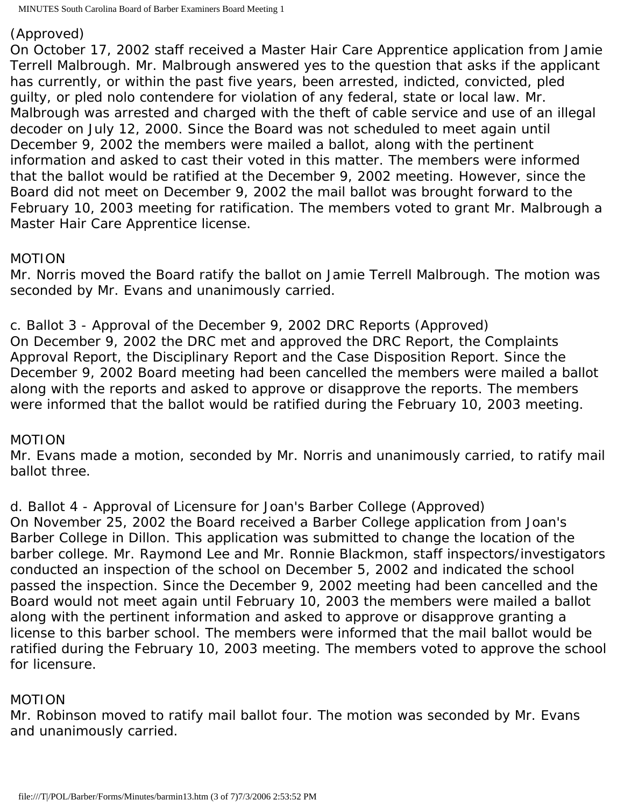### (Approved)

On October 17, 2002 staff received a Master Hair Care Apprentice application from Jamie Terrell Malbrough. Mr. Malbrough answered yes to the question that asks if the applicant has currently, or within the past five years, been arrested, indicted, convicted, pled guilty, or pled nolo contendere for violation of any federal, state or local law. Mr. Malbrough was arrested and charged with the theft of cable service and use of an illegal decoder on July 12, 2000. Since the Board was not scheduled to meet again until December 9, 2002 the members were mailed a ballot, along with the pertinent information and asked to cast their voted in this matter. The members were informed that the ballot would be ratified at the December 9, 2002 meeting. However, since the Board did not meet on December 9, 2002 the mail ballot was brought forward to the February 10, 2003 meeting for ratification. The members voted to grant Mr. Malbrough a Master Hair Care Apprentice license.

# MOTION

Mr. Norris moved the Board ratify the ballot on Jamie Terrell Malbrough. The motion was seconded by Mr. Evans and unanimously carried.

c. Ballot 3 - Approval of the December 9, 2002 DRC Reports (Approved) On December 9, 2002 the DRC met and approved the DRC Report, the Complaints Approval Report, the Disciplinary Report and the Case Disposition Report. Since the December 9, 2002 Board meeting had been cancelled the members were mailed a ballot along with the reports and asked to approve or disapprove the reports. The members were informed that the ballot would be ratified during the February 10, 2003 meeting.

# MOTION

Mr. Evans made a motion, seconded by Mr. Norris and unanimously carried, to ratify mail ballot three.

d. Ballot 4 - Approval of Licensure for Joan's Barber College (Approved) On November 25, 2002 the Board received a Barber College application from Joan's Barber College in Dillon. This application was submitted to change the location of the barber college. Mr. Raymond Lee and Mr. Ronnie Blackmon, staff inspectors/investigators conducted an inspection of the school on December 5, 2002 and indicated the school passed the inspection. Since the December 9, 2002 meeting had been cancelled and the Board would not meet again until February 10, 2003 the members were mailed a ballot along with the pertinent information and asked to approve or disapprove granting a license to this barber school. The members were informed that the mail ballot would be ratified during the February 10, 2003 meeting. The members voted to approve the school for licensure.

# MOTION

Mr. Robinson moved to ratify mail ballot four. The motion was seconded by Mr. Evans and unanimously carried.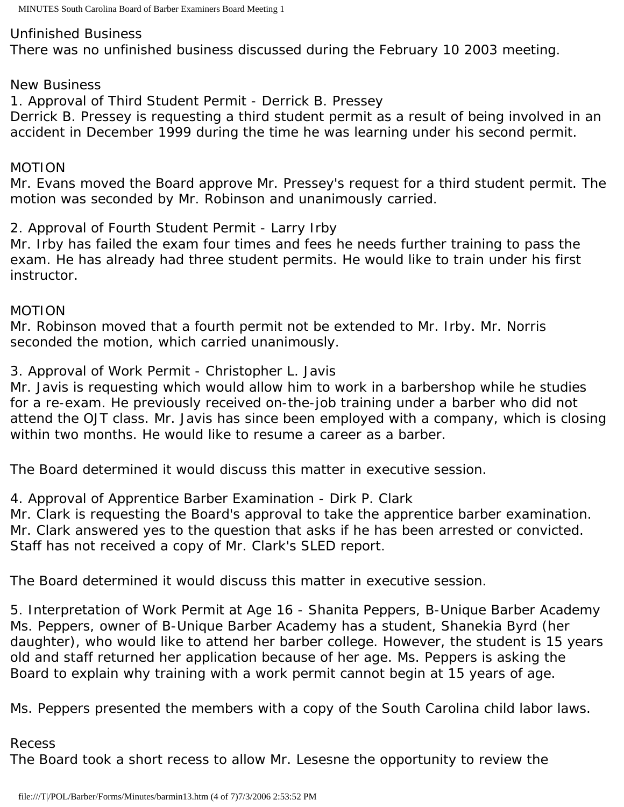MINUTES South Carolina Board of Barber Examiners Board Meeting 1

### Unfinished Business

There was no unfinished business discussed during the February 10 2003 meeting.

### New Business

1. Approval of Third Student Permit - Derrick B. Pressey

Derrick B. Pressey is requesting a third student permit as a result of being involved in an accident in December 1999 during the time he was learning under his second permit.

### MOTION

Mr. Evans moved the Board approve Mr. Pressey's request for a third student permit. The motion was seconded by Mr. Robinson and unanimously carried.

2. Approval of Fourth Student Permit - Larry Irby

Mr. Irby has failed the exam four times and fees he needs further training to pass the exam. He has already had three student permits. He would like to train under his first instructor.

### MOTION

Mr. Robinson moved that a fourth permit not be extended to Mr. Irby. Mr. Norris seconded the motion, which carried unanimously.

3. Approval of Work Permit - Christopher L. Javis

Mr. Javis is requesting which would allow him to work in a barbershop while he studies for a re-exam. He previously received on-the-job training under a barber who did not attend the OJT class. Mr. Javis has since been employed with a company, which is closing within two months. He would like to resume a career as a barber.

The Board determined it would discuss this matter in executive session.

4. Approval of Apprentice Barber Examination - Dirk P. Clark

Mr. Clark is requesting the Board's approval to take the apprentice barber examination. Mr. Clark answered yes to the question that asks if he has been arrested or convicted. Staff has not received a copy of Mr. Clark's SLED report.

The Board determined it would discuss this matter in executive session.

5. Interpretation of Work Permit at Age 16 - Shanita Peppers, B-Unique Barber Academy Ms. Peppers, owner of B-Unique Barber Academy has a student, Shanekia Byrd (her daughter), who would like to attend her barber college. However, the student is 15 years old and staff returned her application because of her age. Ms. Peppers is asking the Board to explain why training with a work permit cannot begin at 15 years of age.

Ms. Peppers presented the members with a copy of the South Carolina child labor laws.

### Recess

The Board took a short recess to allow Mr. Lesesne the opportunity to review the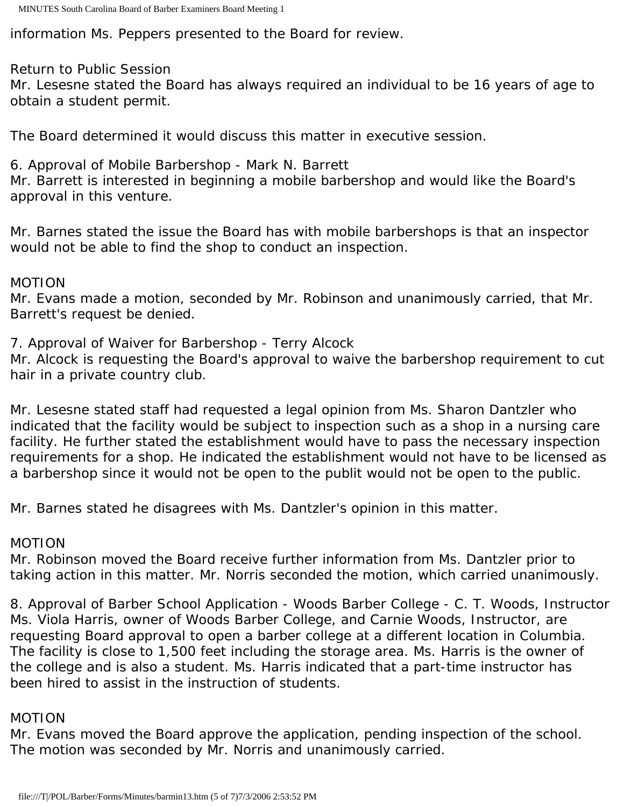information Ms. Peppers presented to the Board for review.

# Return to Public Session

Mr. Lesesne stated the Board has always required an individual to be 16 years of age to obtain a student permit.

The Board determined it would discuss this matter in executive session.

6. Approval of Mobile Barbershop - Mark N. Barrett

Mr. Barrett is interested in beginning a mobile barbershop and would like the Board's approval in this venture.

Mr. Barnes stated the issue the Board has with mobile barbershops is that an inspector would not be able to find the shop to conduct an inspection.

# MOTION

Mr. Evans made a motion, seconded by Mr. Robinson and unanimously carried, that Mr. Barrett's request be denied.

7. Approval of Waiver for Barbershop - Terry Alcock

Mr. Alcock is requesting the Board's approval to waive the barbershop requirement to cut hair in a private country club.

Mr. Lesesne stated staff had requested a legal opinion from Ms. Sharon Dantzler who indicated that the facility would be subject to inspection such as a shop in a nursing care facility. He further stated the establishment would have to pass the necessary inspection requirements for a shop. He indicated the establishment would not have to be licensed as a barbershop since it would not be open to the publit would not be open to the public.

Mr. Barnes stated he disagrees with Ms. Dantzler's opinion in this matter.

# MOTION

Mr. Robinson moved the Board receive further information from Ms. Dantzler prior to taking action in this matter. Mr. Norris seconded the motion, which carried unanimously.

8. Approval of Barber School Application - Woods Barber College - C. T. Woods, Instructor Ms. Viola Harris, owner of Woods Barber College, and Carnie Woods, Instructor, are requesting Board approval to open a barber college at a different location in Columbia. The facility is close to 1,500 feet including the storage area. Ms. Harris is the owner of the college and is also a student. Ms. Harris indicated that a part-time instructor has been hired to assist in the instruction of students.

# MOTION

Mr. Evans moved the Board approve the application, pending inspection of the school. The motion was seconded by Mr. Norris and unanimously carried.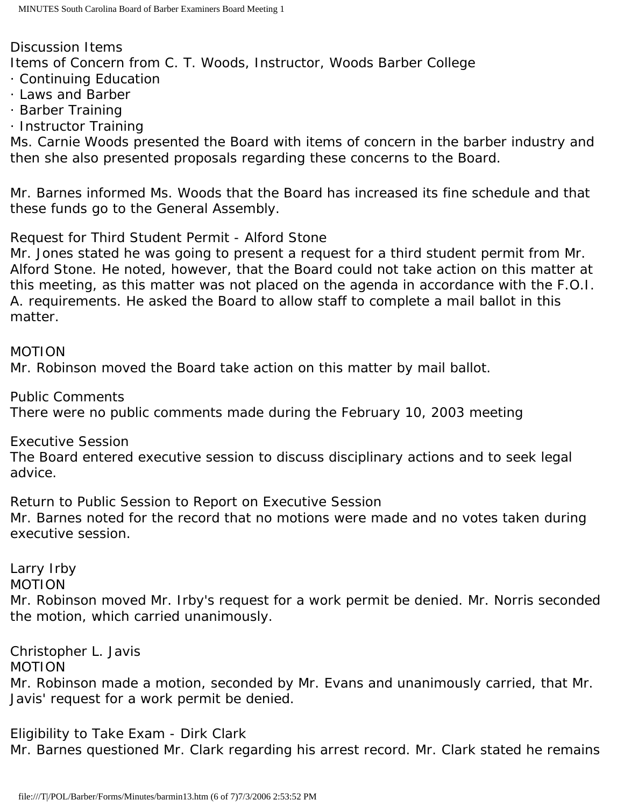Discussion Items Items of Concern from C. T. Woods, Instructor, Woods Barber College · Continuing Education

- · Laws and Barber
- · Barber Training
- · Instructor Training

Ms. Carnie Woods presented the Board with items of concern in the barber industry and then she also presented proposals regarding these concerns to the Board.

Mr. Barnes informed Ms. Woods that the Board has increased its fine schedule and that these funds go to the General Assembly.

Request for Third Student Permit - Alford Stone

Mr. Jones stated he was going to present a request for a third student permit from Mr. Alford Stone. He noted, however, that the Board could not take action on this matter at this meeting, as this matter was not placed on the agenda in accordance with the F.O.I. A. requirements. He asked the Board to allow staff to complete a mail ballot in this matter.

### MOTION

Mr. Robinson moved the Board take action on this matter by mail ballot.

Public Comments There were no public comments made during the February 10, 2003 meeting

Executive Session

The Board entered executive session to discuss disciplinary actions and to seek legal advice.

Return to Public Session to Report on Executive Session Mr. Barnes noted for the record that no motions were made and no votes taken during executive session.

Larry Irby

MOTION

Mr. Robinson moved Mr. Irby's request for a work permit be denied. Mr. Norris seconded the motion, which carried unanimously.

Christopher L. Javis

MOTION

Mr. Robinson made a motion, seconded by Mr. Evans and unanimously carried, that Mr. Javis' request for a work permit be denied.

Eligibility to Take Exam - Dirk Clark

Mr. Barnes questioned Mr. Clark regarding his arrest record. Mr. Clark stated he remains